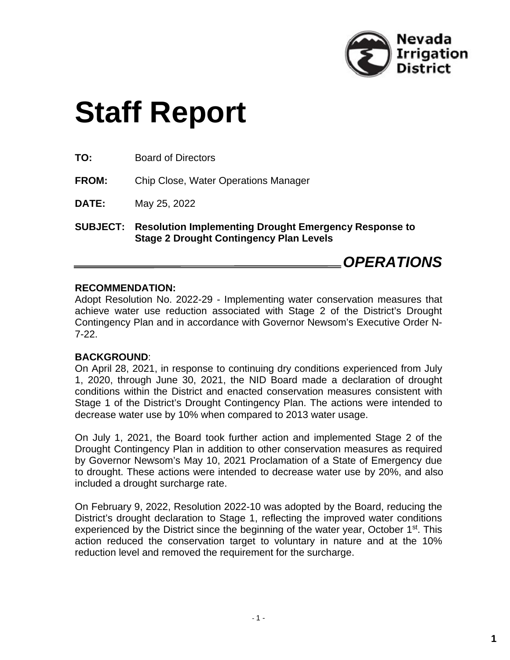

# **Staff Report**

**TO:** Board of Directors

**FROM:** Chip Close, Water Operations Manager

**DATE:** May 25, 2022

**SUBJECT: Resolution Implementing Drought Emergency Response to Stage 2 Drought Contingency Plan Levels**

### *OPERATIONS*

#### **RECOMMENDATION:**

Adopt Resolution No. 2022-29 - Implementing water conservation measures that achieve water use reduction associated with Stage 2 of the District's Drought Contingency Plan and in accordance with Governor Newsom's Executive Order N-7-22.

#### **BACKGROUND**:

On April 28, 2021, in response to continuing dry conditions experienced from July 1, 2020, through June 30, 2021, the NID Board made a declaration of drought conditions within the District and enacted conservation measures consistent with Stage 1 of the District's Drought Contingency Plan. The actions were intended to decrease water use by 10% when compared to 2013 water usage.

On July 1, 2021, the Board took further action and implemented Stage 2 of the Drought Contingency Plan in addition to other conservation measures as required by Governor Newsom's May 10, 2021 Proclamation of a State of Emergency due to drought. These actions were intended to decrease water use by 20%, and also included a drought surcharge rate.

On February 9, 2022, Resolution 2022-10 was adopted by the Board, reducing the District's drought declaration to Stage 1, reflecting the improved water conditions experienced by the District since the beginning of the water year, October 1<sup>st</sup>. This action reduced the conservation target to voluntary in nature and at the 10% reduction level and removed the requirement for the surcharge.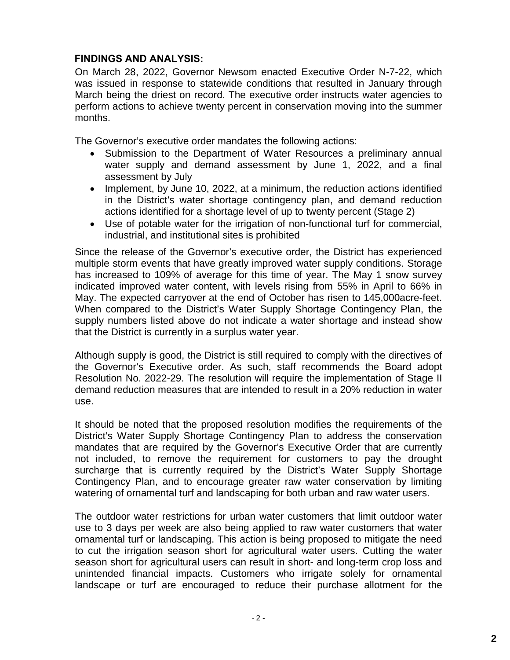#### **FINDINGS AND ANALYSIS:**

On March 28, 2022, Governor Newsom enacted Executive Order N-7-22, which was issued in response to statewide conditions that resulted in January through March being the driest on record. The executive order instructs water agencies to perform actions to achieve twenty percent in conservation moving into the summer months.

The Governor's executive order mandates the following actions:

- Submission to the Department of Water Resources a preliminary annual water supply and demand assessment by June 1, 2022, and a final assessment by July
- Implement, by June 10, 2022, at a minimum, the reduction actions identified in the District's water shortage contingency plan, and demand reduction actions identified for a shortage level of up to twenty percent (Stage 2)
- Use of potable water for the irrigation of non-functional turf for commercial, industrial, and institutional sites is prohibited

Since the release of the Governor's executive order, the District has experienced multiple storm events that have greatly improved water supply conditions. Storage has increased to 109% of average for this time of year. The May 1 snow survey indicated improved water content, with levels rising from 55% in April to 66% in May. The expected carryover at the end of October has risen to 145,000acre-feet. When compared to the District's Water Supply Shortage Contingency Plan, the supply numbers listed above do not indicate a water shortage and instead show that the District is currently in a surplus water year.

Although supply is good, the District is still required to comply with the directives of the Governor's Executive order. As such, staff recommends the Board adopt Resolution No. 2022-29. The resolution will require the implementation of Stage II demand reduction measures that are intended to result in a 20% reduction in water use.

It should be noted that the proposed resolution modifies the requirements of the District's Water Supply Shortage Contingency Plan to address the conservation mandates that are required by the Governor's Executive Order that are currently not included, to remove the requirement for customers to pay the drought surcharge that is currently required by the District's Water Supply Shortage Contingency Plan, and to encourage greater raw water conservation by limiting watering of ornamental turf and landscaping for both urban and raw water users.

The outdoor water restrictions for urban water customers that limit outdoor water use to 3 days per week are also being applied to raw water customers that water ornamental turf or landscaping. This action is being proposed to mitigate the need to cut the irrigation season short for agricultural water users. Cutting the water season short for agricultural users can result in short- and long-term crop loss and unintended financial impacts. Customers who irrigate solely for ornamental landscape or turf are encouraged to reduce their purchase allotment for the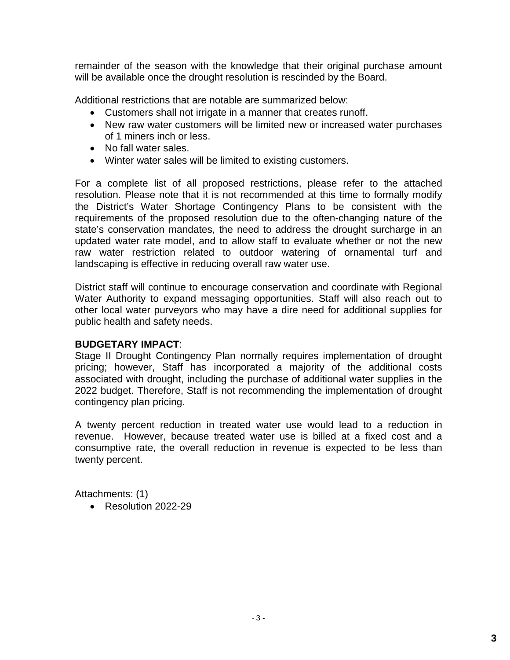remainder of the season with the knowledge that their original purchase amount will be available once the drought resolution is rescinded by the Board.

Additional restrictions that are notable are summarized below:

- Customers shall not irrigate in a manner that creates runoff.
- New raw water customers will be limited new or increased water purchases of 1 miners inch or less.
- No fall water sales.
- Winter water sales will be limited to existing customers.

For a complete list of all proposed restrictions, please refer to the attached resolution. Please note that it is not recommended at this time to formally modify the District's Water Shortage Contingency Plans to be consistent with the requirements of the proposed resolution due to the often-changing nature of the state's conservation mandates, the need to address the drought surcharge in an updated water rate model, and to allow staff to evaluate whether or not the new raw water restriction related to outdoor watering of ornamental turf and landscaping is effective in reducing overall raw water use.

District staff will continue to encourage conservation and coordinate with Regional Water Authority to expand messaging opportunities. Staff will also reach out to other local water purveyors who may have a dire need for additional supplies for public health and safety needs.

#### **BUDGETARY IMPACT**:

Stage II Drought Contingency Plan normally requires implementation of drought pricing; however, Staff has incorporated a majority of the additional costs associated with drought, including the purchase of additional water supplies in the 2022 budget. Therefore, Staff is not recommending the implementation of drought contingency plan pricing.

A twenty percent reduction in treated water use would lead to a reduction in revenue. However, because treated water use is billed at a fixed cost and a consumptive rate, the overall reduction in revenue is expected to be less than twenty percent.

Attachments: (1)

• Resolution 2022-29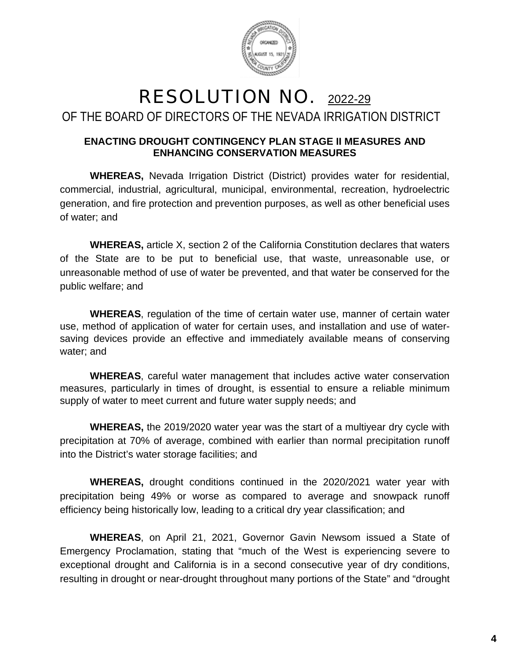

## RESOLUTION NO. 2022-29 OF THE BOARD OF DIRECTORS OF THE NEVADA IRRIGATION DISTRICT

#### **ENACTING DROUGHT CONTINGENCY PLAN STAGE II MEASURES AND ENHANCING CONSERVATION MEASURES**

**WHEREAS,** Nevada Irrigation District (District) provides water for residential, commercial, industrial, agricultural, municipal, environmental, recreation, hydroelectric generation, and fire protection and prevention purposes, as well as other beneficial uses of water; and

**WHEREAS,** article X, section 2 of the California Constitution declares that waters of the State are to be put to beneficial use, that waste, unreasonable use, or unreasonable method of use of water be prevented, and that water be conserved for the public welfare; and

**WHEREAS**, regulation of the time of certain water use, manner of certain water use, method of application of water for certain uses, and installation and use of watersaving devices provide an effective and immediately available means of conserving water; and

**WHEREAS**, careful water management that includes active water conservation measures, particularly in times of drought, is essential to ensure a reliable minimum supply of water to meet current and future water supply needs; and

**WHEREAS,** the 2019/2020 water year was the start of a multiyear dry cycle with precipitation at 70% of average, combined with earlier than normal precipitation runoff into the District's water storage facilities; and

**WHEREAS,** drought conditions continued in the 2020/2021 water year with precipitation being 49% or worse as compared to average and snowpack runoff efficiency being historically low, leading to a critical dry year classification; and

**WHEREAS**, on April 21, 2021, Governor Gavin Newsom issued a State of Emergency Proclamation, stating that "much of the West is experiencing severe to exceptional drought and California is in a second consecutive year of dry conditions, resulting in drought or near-drought throughout many portions of the State" and "drought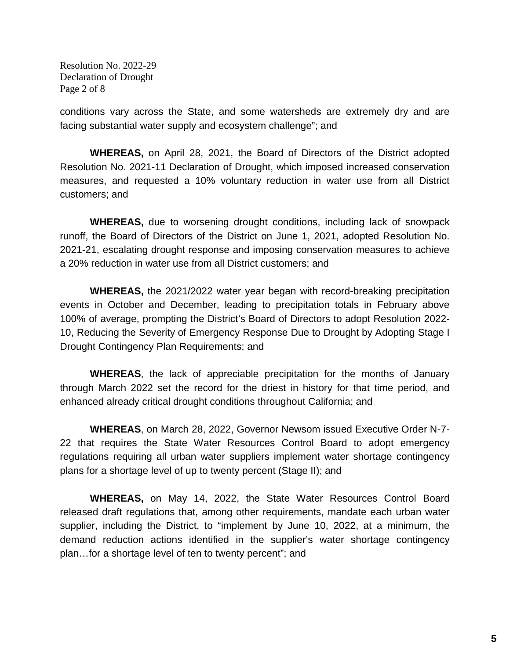Resolution No. 2022-29 Declaration of Drought Page 2 of 8

conditions vary across the State, and some watersheds are extremely dry and are facing substantial water supply and ecosystem challenge"; and

**WHEREAS,** on April 28, 2021, the Board of Directors of the District adopted Resolution No. 2021-11 Declaration of Drought, which imposed increased conservation measures, and requested a 10% voluntary reduction in water use from all District customers; and

**WHEREAS,** due to worsening drought conditions, including lack of snowpack runoff, the Board of Directors of the District on June 1, 2021, adopted Resolution No. 2021-21, escalating drought response and imposing conservation measures to achieve a 20% reduction in water use from all District customers; and

**WHEREAS,** the 2021/2022 water year began with record-breaking precipitation events in October and December, leading to precipitation totals in February above 100% of average, prompting the District's Board of Directors to adopt Resolution 2022- 10, Reducing the Severity of Emergency Response Due to Drought by Adopting Stage I Drought Contingency Plan Requirements; and

**WHEREAS**, the lack of appreciable precipitation for the months of January through March 2022 set the record for the driest in history for that time period, and enhanced already critical drought conditions throughout California; and

**WHEREAS**, on March 28, 2022, Governor Newsom issued Executive Order N-7- 22 that requires the State Water Resources Control Board to adopt emergency regulations requiring all urban water suppliers implement water shortage contingency plans for a shortage level of up to twenty percent (Stage II); and

**WHEREAS,** on May 14, 2022, the State Water Resources Control Board released draft regulations that, among other requirements, mandate each urban water supplier, including the District, to "implement by June 10, 2022, at a minimum, the demand reduction actions identified in the supplier's water shortage contingency plan…for a shortage level of ten to twenty percent"; and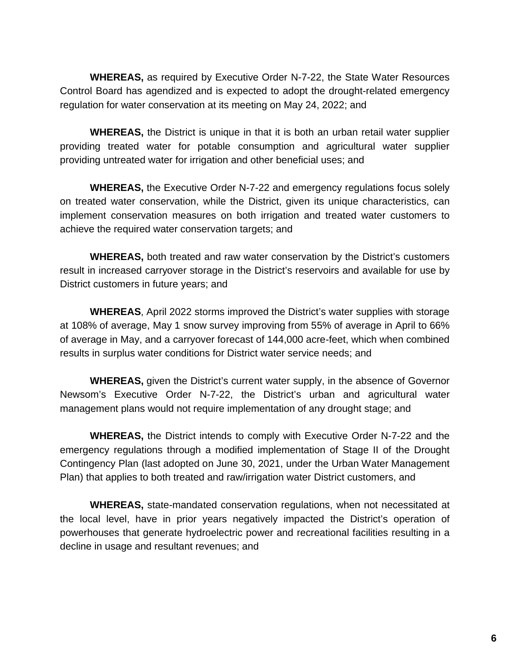**WHEREAS,** as required by Executive Order N-7-22, the State Water Resources Control Board has agendized and is expected to adopt the drought-related emergency regulation for water conservation at its meeting on May 24, 2022; and

**WHEREAS,** the District is unique in that it is both an urban retail water supplier providing treated water for potable consumption and agricultural water supplier providing untreated water for irrigation and other beneficial uses; and

**WHEREAS,** the Executive Order N-7-22 and emergency regulations focus solely on treated water conservation, while the District, given its unique characteristics, can implement conservation measures on both irrigation and treated water customers to achieve the required water conservation targets; and

**WHEREAS,** both treated and raw water conservation by the District's customers result in increased carryover storage in the District's reservoirs and available for use by District customers in future years; and

**WHEREAS**, April 2022 storms improved the District's water supplies with storage at 108% of average, May 1 snow survey improving from 55% of average in April to 66% of average in May, and a carryover forecast of 144,000 acre-feet, which when combined results in surplus water conditions for District water service needs; and

**WHEREAS,** given the District's current water supply, in the absence of Governor Newsom's Executive Order N-7-22, the District's urban and agricultural water management plans would not require implementation of any drought stage; and

**WHEREAS,** the District intends to comply with Executive Order N-7-22 and the emergency regulations through a modified implementation of Stage II of the Drought Contingency Plan (last adopted on June 30, 2021, under the Urban Water Management Plan) that applies to both treated and raw/irrigation water District customers, and

**WHEREAS,** state-mandated conservation regulations, when not necessitated at the local level, have in prior years negatively impacted the District's operation of powerhouses that generate hydroelectric power and recreational facilities resulting in a decline in usage and resultant revenues; and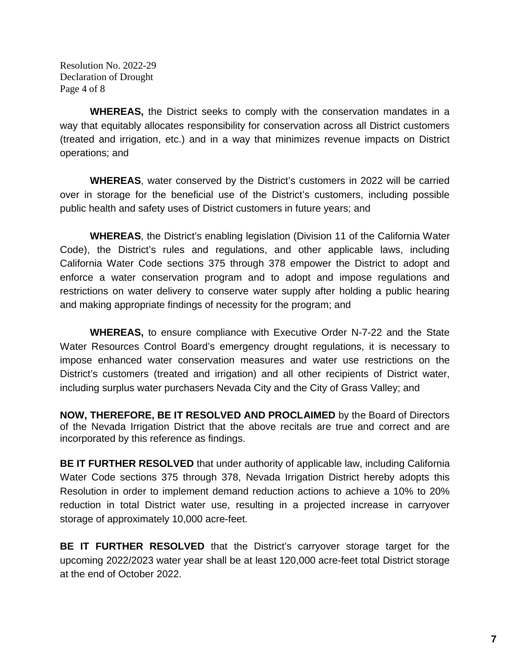Resolution No. 2022-29 Declaration of Drought Page 4 of 8

**WHEREAS,** the District seeks to comply with the conservation mandates in a way that equitably allocates responsibility for conservation across all District customers (treated and irrigation, etc.) and in a way that minimizes revenue impacts on District operations; and

**WHEREAS**, water conserved by the District's customers in 2022 will be carried over in storage for the beneficial use of the District's customers, including possible public health and safety uses of District customers in future years; and

**WHEREAS**, the District's enabling legislation (Division 11 of the California Water Code), the District's rules and regulations, and other applicable laws, including California Water Code sections 375 through 378 empower the District to adopt and enforce a water conservation program and to adopt and impose regulations and restrictions on water delivery to conserve water supply after holding a public hearing and making appropriate findings of necessity for the program; and

**WHEREAS,** to ensure compliance with Executive Order N-7-22 and the State Water Resources Control Board's emergency drought regulations, it is necessary to impose enhanced water conservation measures and water use restrictions on the District's customers (treated and irrigation) and all other recipients of District water, including surplus water purchasers Nevada City and the City of Grass Valley; and

**NOW, THEREFORE, BE IT RESOLVED AND PROCLAIMED** by the Board of Directors of the Nevada Irrigation District that the above recitals are true and correct and are incorporated by this reference as findings.

**BE IT FURTHER RESOLVED** that under authority of applicable law, including California Water Code sections 375 through 378, Nevada Irrigation District hereby adopts this Resolution in order to implement demand reduction actions to achieve a 10% to 20% reduction in total District water use, resulting in a projected increase in carryover storage of approximately 10,000 acre-feet.

**BE IT FURTHER RESOLVED** that the District's carryover storage target for the upcoming 2022/2023 water year shall be at least 120,000 acre-feet total District storage at the end of October 2022.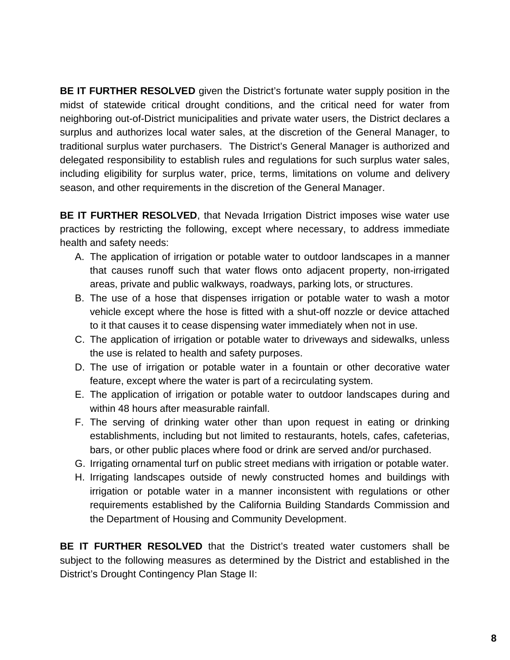**BE IT FURTHER RESOLVED** given the District's fortunate water supply position in the midst of statewide critical drought conditions, and the critical need for water from neighboring out-of-District municipalities and private water users, the District declares a surplus and authorizes local water sales, at the discretion of the General Manager, to traditional surplus water purchasers. The District's General Manager is authorized and delegated responsibility to establish rules and regulations for such surplus water sales, including eligibility for surplus water, price, terms, limitations on volume and delivery season, and other requirements in the discretion of the General Manager.

**BE IT FURTHER RESOLVED**, that Nevada Irrigation District imposes wise water use practices by restricting the following, except where necessary, to address immediate health and safety needs:

- A. The application of irrigation or potable water to outdoor landscapes in a manner that causes runoff such that water flows onto adjacent property, non-irrigated areas, private and public walkways, roadways, parking lots, or structures.
- B. The use of a hose that dispenses irrigation or potable water to wash a motor vehicle except where the hose is fitted with a shut-off nozzle or device attached to it that causes it to cease dispensing water immediately when not in use.
- C. The application of irrigation or potable water to driveways and sidewalks, unless the use is related to health and safety purposes.
- D. The use of irrigation or potable water in a fountain or other decorative water feature, except where the water is part of a recirculating system.
- E. The application of irrigation or potable water to outdoor landscapes during and within 48 hours after measurable rainfall.
- F. The serving of drinking water other than upon request in eating or drinking establishments, including but not limited to restaurants, hotels, cafes, cafeterias, bars, or other public places where food or drink are served and/or purchased.
- G. Irrigating ornamental turf on public street medians with irrigation or potable water.
- H. Irrigating landscapes outside of newly constructed homes and buildings with irrigation or potable water in a manner inconsistent with regulations or other requirements established by the California Building Standards Commission and the Department of Housing and Community Development.

**BE IT FURTHER RESOLVED** that the District's treated water customers shall be subject to the following measures as determined by the District and established in the District's Drought Contingency Plan Stage II: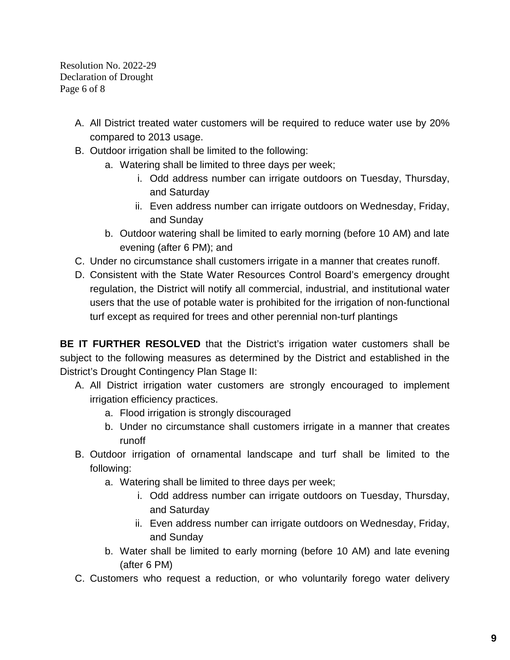Resolution No. 2022-29 Declaration of Drought Page 6 of 8

- A. All District treated water customers will be required to reduce water use by 20% compared to 2013 usage.
- B. Outdoor irrigation shall be limited to the following:
	- a. Watering shall be limited to three days per week;
		- i. Odd address number can irrigate outdoors on Tuesday, Thursday, and Saturday
		- ii. Even address number can irrigate outdoors on Wednesday, Friday, and Sunday
	- b. Outdoor watering shall be limited to early morning (before 10 AM) and late evening (after 6 PM); and
- C. Under no circumstance shall customers irrigate in a manner that creates runoff.
- D. Consistent with the State Water Resources Control Board's emergency drought regulation, the District will notify all commercial, industrial, and institutional water users that the use of potable water is prohibited for the irrigation of non-functional turf except as required for trees and other perennial non-turf plantings

**BE IT FURTHER RESOLVED** that the District's irrigation water customers shall be subject to the following measures as determined by the District and established in the District's Drought Contingency Plan Stage II:

- A. All District irrigation water customers are strongly encouraged to implement irrigation efficiency practices.
	- a. Flood irrigation is strongly discouraged
	- b. Under no circumstance shall customers irrigate in a manner that creates runoff
- B. Outdoor irrigation of ornamental landscape and turf shall be limited to the following:
	- a. Watering shall be limited to three days per week;
		- i. Odd address number can irrigate outdoors on Tuesday, Thursday, and Saturday
		- ii. Even address number can irrigate outdoors on Wednesday, Friday, and Sunday
	- b. Water shall be limited to early morning (before 10 AM) and late evening (after 6 PM)
- C. Customers who request a reduction, or who voluntarily forego water delivery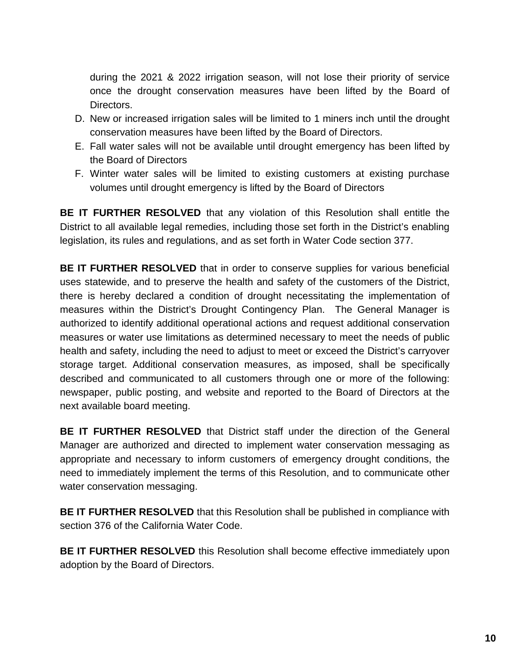during the 2021 & 2022 irrigation season, will not lose their priority of service once the drought conservation measures have been lifted by the Board of Directors.

- D. New or increased irrigation sales will be limited to 1 miners inch until the drought conservation measures have been lifted by the Board of Directors.
- E. Fall water sales will not be available until drought emergency has been lifted by the Board of Directors
- F. Winter water sales will be limited to existing customers at existing purchase volumes until drought emergency is lifted by the Board of Directors

**BE IT FURTHER RESOLVED** that any violation of this Resolution shall entitle the District to all available legal remedies, including those set forth in the District's enabling legislation, its rules and regulations, and as set forth in Water Code section 377.

**BE IT FURTHER RESOLVED** that in order to conserve supplies for various beneficial uses statewide, and to preserve the health and safety of the customers of the District, there is hereby declared a condition of drought necessitating the implementation of measures within the District's Drought Contingency Plan. The General Manager is authorized to identify additional operational actions and request additional conservation measures or water use limitations as determined necessary to meet the needs of public health and safety, including the need to adjust to meet or exceed the District's carryover storage target. Additional conservation measures, as imposed, shall be specifically described and communicated to all customers through one or more of the following: newspaper, public posting, and website and reported to the Board of Directors at the next available board meeting.

**BE IT FURTHER RESOLVED** that District staff under the direction of the General Manager are authorized and directed to implement water conservation messaging as appropriate and necessary to inform customers of emergency drought conditions, the need to immediately implement the terms of this Resolution, and to communicate other water conservation messaging.

**BE IT FURTHER RESOLVED** that this Resolution shall be published in compliance with section 376 of the California Water Code.

**BE IT FURTHER RESOLVED** this Resolution shall become effective immediately upon adoption by the Board of Directors.